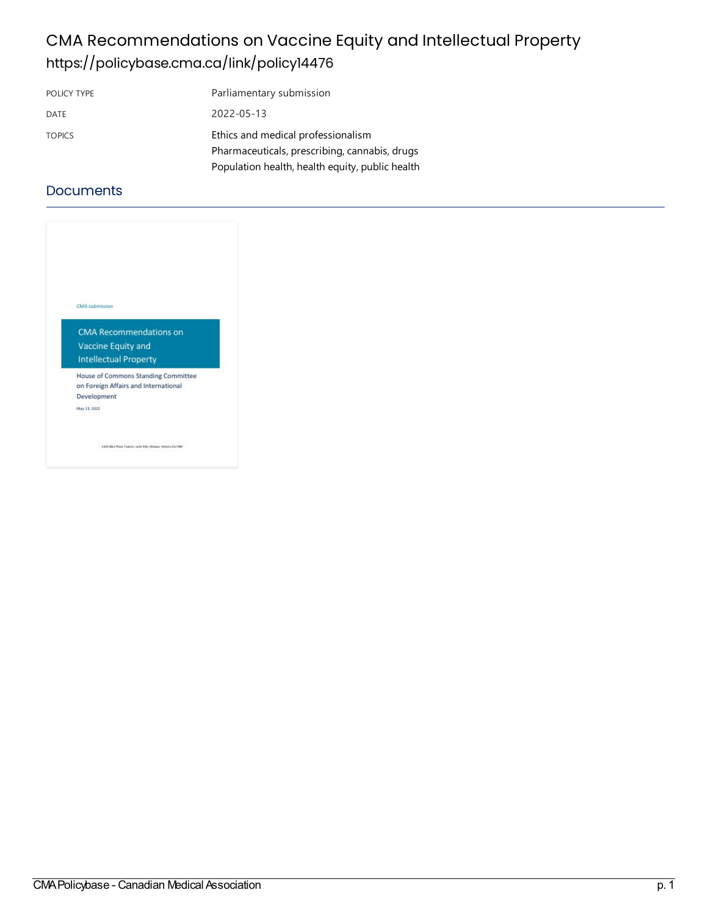### CMA Recommendations on Vaccine Equity and Intellectual Property <https://policybase.cma.ca/link/policy14476>

| POLICY TYPE   | Parliamentary submission                        |
|---------------|-------------------------------------------------|
| DATE          | 2022-05-13                                      |
| <b>TOPICS</b> | Ethics and medical professionalism              |
|               | Pharmaceuticals, prescribing, cannabis, drugs   |
|               | Population health, health equity, public health |

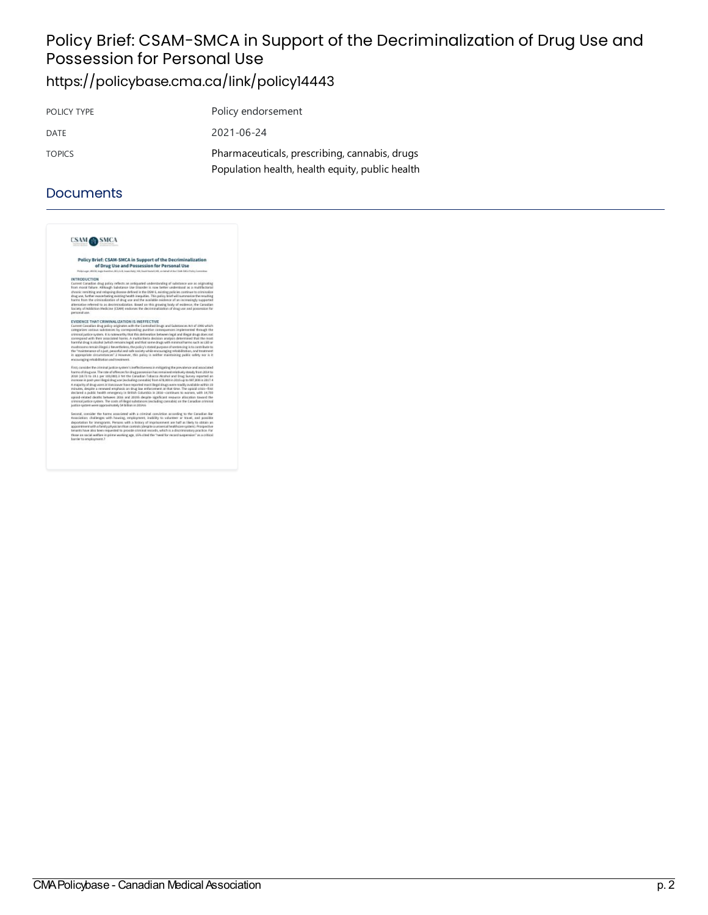# Policy Brief: CSAM-SMCA in Support of the Decriminalization of Drug Use and Possession for Personal Use

### <https://policybase.cma.ca/link/policy14443>

| POLICY TYPE   | Policy endorsement                              |
|---------------|-------------------------------------------------|
| DATE          | 2021-06-24                                      |
| <b>TOPICS</b> | Pharmaceuticals, prescribing, cannabis, drugs   |
|               | Population health, health equity, public health |

| CSAM,                                |                                                                                                                                                                                                                                                                                                                                                                                                                                                                                                                                                                                                                                                                                                                                                                                                                                                                                                                                                      |
|--------------------------------------|------------------------------------------------------------------------------------------------------------------------------------------------------------------------------------------------------------------------------------------------------------------------------------------------------------------------------------------------------------------------------------------------------------------------------------------------------------------------------------------------------------------------------------------------------------------------------------------------------------------------------------------------------------------------------------------------------------------------------------------------------------------------------------------------------------------------------------------------------------------------------------------------------------------------------------------------------|
|                                      | Policy Brief: CSAM-SMCA in Support of the Decriminalization<br>of Drug Use and Possession for Personal Use<br>Philip Lagar JADOX, Jagra Kamilner, BOL-LLB, Jagar Raly, MB, David Martell, ME, on Eatsal of the CSAK-DACa Policy Committee                                                                                                                                                                                                                                                                                                                                                                                                                                                                                                                                                                                                                                                                                                            |
| <b>INTRODUCTION</b><br>personal use. | Current Canadian drug policy reflects an antiquated understanding of substance use as originating<br>from moral failure. Although Substance Lise (Bigsder is now better understood as a realtifactorial<br>chronic remitting and relapsing disease defined in the DSM-5, existing policies continue to primisalize<br>drug use, further exacerbating existing health inequities. This policy brief will summasize the resulting<br>harms from the criminalization of drug are and the available seidence of an increasingly supported<br>alternative referred to as decriminalization, fituad on this proving body of exidence, the Canadian<br>Saciety of Addiction Medicine (CSRR) endorses the decriminalization of drug use and possession for                                                                                                                                                                                                   |
|                                      | EVIDENCE THAT CRIMINALIZATION IS INEFFECTIVE<br>Current Canadian drug policy originates with the Controlled Brugs and Substances Act of 1996 which<br>categorizes various substances by corresponding punkive consequences implemented through the<br>criminal justice system. It is notewarthy that this delineation between legal and illegal drugs does part<br>correspond with their associated harms. A multicriteria decision analysis determined that the reast<br>harmful drug is alcohal (which remains legal) and that some drugs with minimal harms such as LSB an<br>mushrooms remain likepil.) Nevertholess, the policy's mated purpose of sentencing is to contribute to<br>the "maintenance of a just, peaceful and safe society while encouraging rehabilitation, and treatment<br>in appropriate circumstances".2 However, this policy is neither maintaining public safety nor is it<br>encouraging relatbilitation and treatment. |
|                                      | First, carreider the criminal justice system's ineffective sets in mitigating the prevalence and associated<br>harms of drug use. The rate of offences for drug possession has remained relatively steady from 2014 to<br>3038 (18.73 to 18.1 per 100,000).3 Wit the Canadian Tobacco Alcohol and Drag Survey reported an<br>increase-in past-year illegal drug use (sucluding cannabic) from 678,000 in 3015 up to 987,000 in 2817.4                                                                                                                                                                                                                                                                                                                                                                                                                                                                                                                |
|                                      | A majority of drug upset in Vancouver have reported most likepal deupt were readily available within 30<br>minutes, despite a renewed emphasis on drug law enforcement at that time. The opinid crisis-first<br>declared a public health emergency in British Columbia in 2816-cantinues to warses, with 14,700<br>egisid-related deaths between 2016 and 20185 despite significant respurce allocation tayand the<br>criminal justice cystem. The costs of illegal substances (excluding cannabid on the Canadian criminal<br>justice system were approximately 54 billion in 2014.6                                                                                                                                                                                                                                                                                                                                                                |
|                                      | Second, consider the harms associated with a criminal conviction according to the Caradian Bar-<br>Association: challenges with housing, employment, inability to volunteer or travel, and possible<br>deportation for immigrants. Persons with a history of imprisonment are half as likely to obtain an<br>appointment with a family physician than compair iderations universal healthcare commit. Prosaective<br>tenants have also been requested to provide criminal records, which is a discriminatory practice. For<br>those on sacial welfare in prime working age, 25% closf the "need for record suspension" as a critical<br>barrier to encolours ent.3                                                                                                                                                                                                                                                                                   |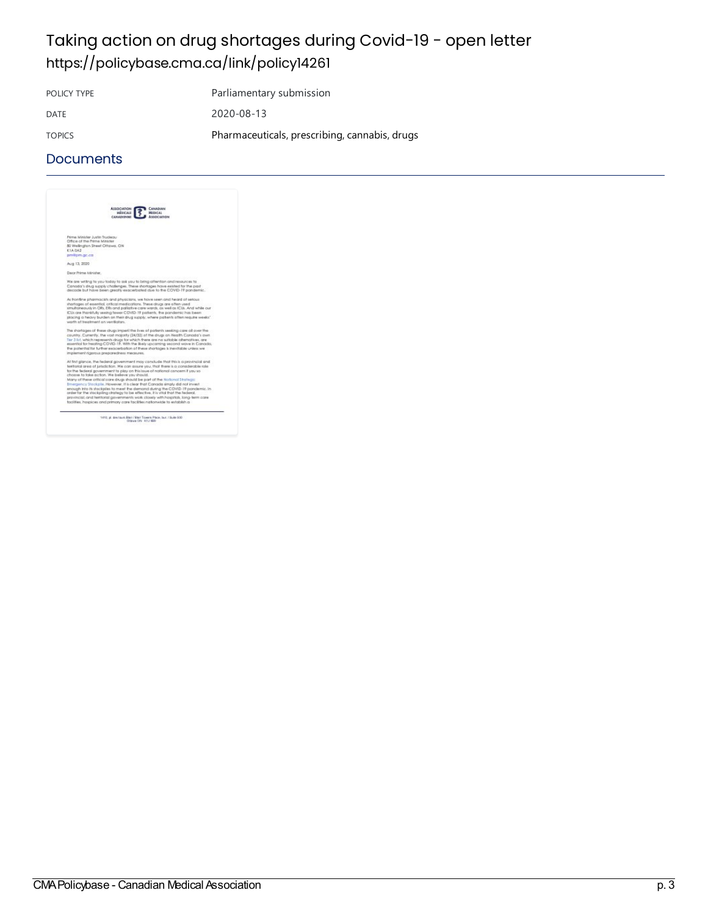# Taking action on drug shortages during Covid-19 - open letter <https://policybase.cma.ca/link/policy14261>

POLICY TYPE Parliamentary submission DATE 2020-08-13 TOPICS Pharmaceuticals, prescribing, cannabis, drugs

#### **Documents**



1410, pl. des taues Blaz / Blaz Towers Place, but / Suite 900<br> Different ON: H1J 980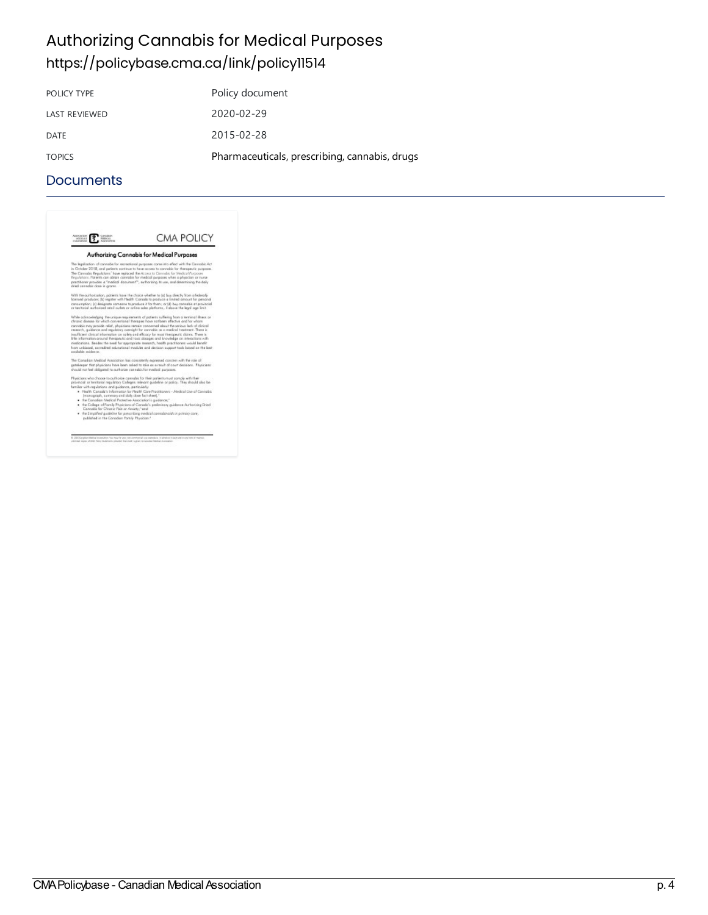### **Authorizing Cannabis for Medical Purposes** <https://policybase.cma.ca/link/policy11514>

| Policy document                               |
|-----------------------------------------------|
| 2020-02-29                                    |
| 2015-02-28                                    |
| Pharmaceuticals, prescribing, cannabis, drugs |
|                                               |

#### **Documents**



المستقل CMA Policybase - Canadian Medical Association<br>P. 4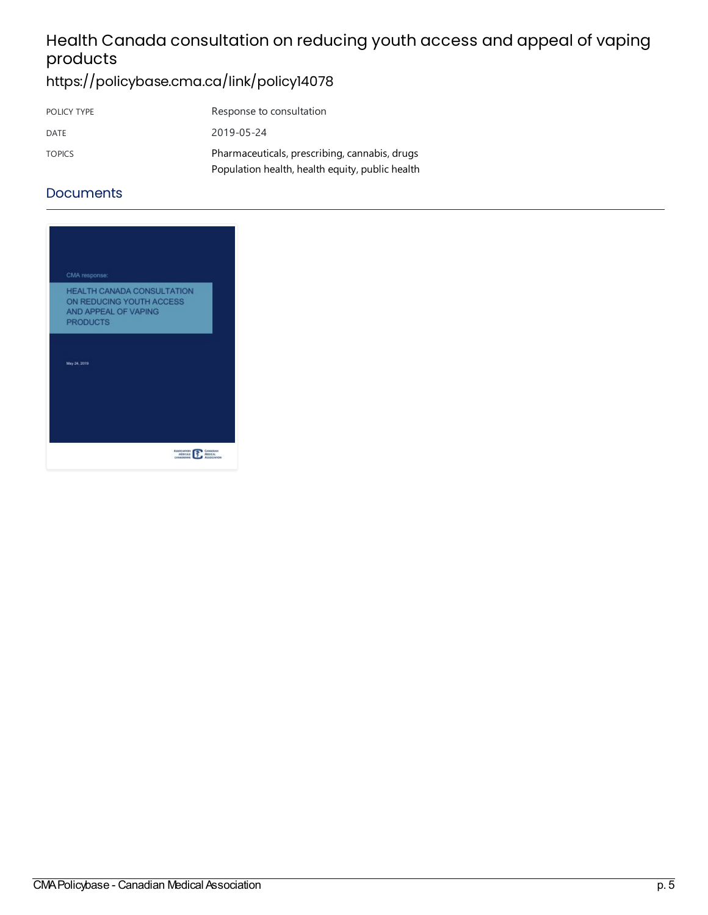# Health Canada consultation on reducing youth access and appeal of vaping products

# <https://policybase.cma.ca/link/policy14078>

| POLICY TYPE   | Response to consultation                        |
|---------------|-------------------------------------------------|
| DATE          | 2019-05-24                                      |
| <b>TOPICS</b> | Pharmaceuticals, prescribing, cannabis, drugs   |
|               | Population health, health equity, public health |

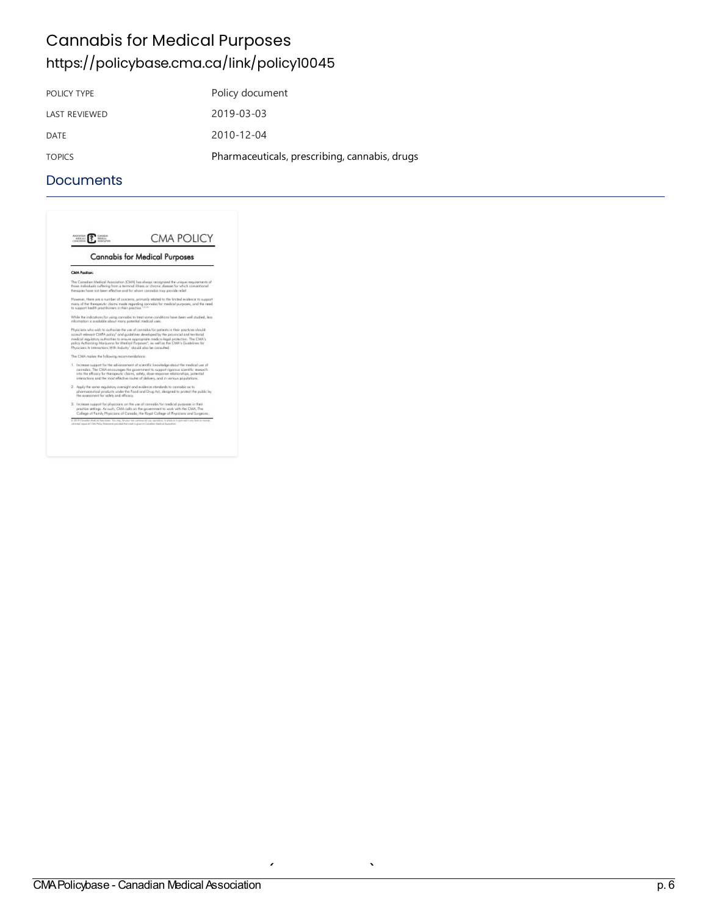### **Cannabis for Medical Purposes** <https://policybase.cma.ca/link/policy10045>

| POLICY TYPE          | Policy document                               |
|----------------------|-----------------------------------------------|
| <b>LAST REVIEWED</b> | 2019-03-03                                    |
| DATE                 | 2010-12-04                                    |
| <b>TOPICS</b>        | Pharmaceuticals, prescribing, cannabis, drugs |

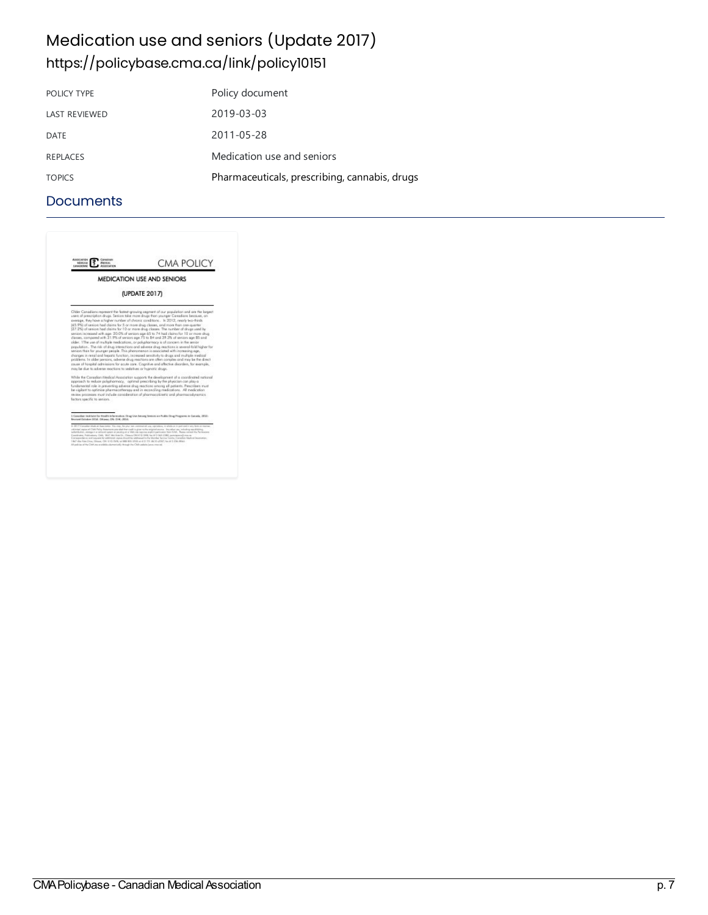### Medication use and seniors (Update 2017) <https://policybase.cma.ca/link/policy10151>

| POLICY TYPE          | Policy document                               |
|----------------------|-----------------------------------------------|
| <b>LAST REVIEWED</b> | 2019-03-03                                    |
| DATE                 | 2011-05-28                                    |
| REPLACES             | Medication use and seniors                    |
| <b>TOPICS</b>        | Pharmaceuticals, prescribing, cannabis, drugs |

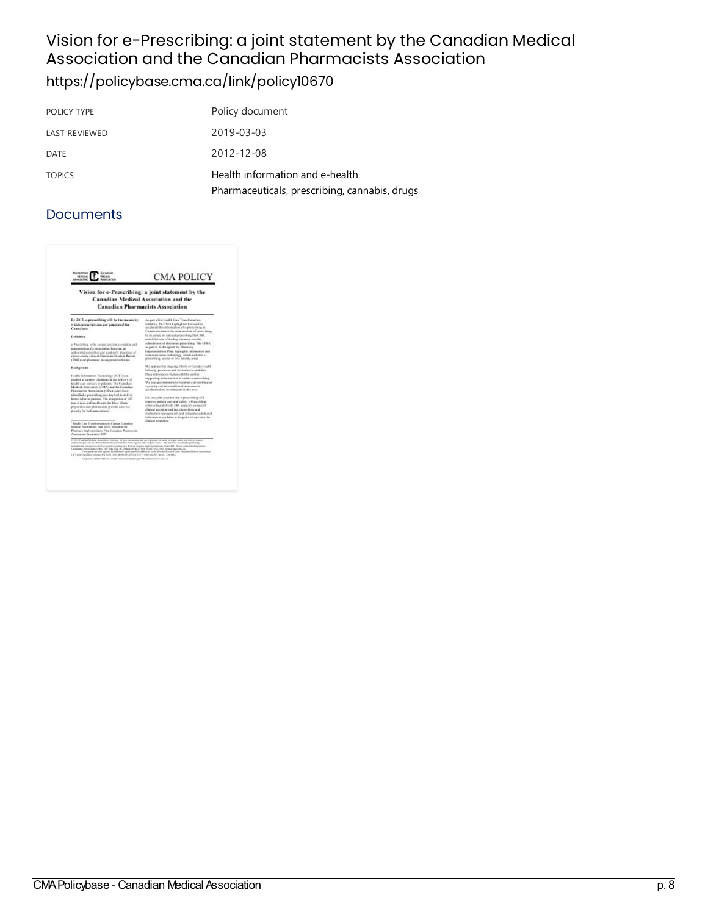### Vision for e-Prescribing: a joint statement by the Canadian Medical Association and the Canadian Pharmacists Association <https://policybase.cma.ca/link/policy10670>

| POLICY TYPE          | Policy document                                                                  |
|----------------------|----------------------------------------------------------------------------------|
| <b>LAST REVIEWED</b> | 2019-03-03                                                                       |
| DATE                 | 2012-12-08                                                                       |
| <b>TOPICS</b>        | Health information and e-health<br>Pharmaceuticals, prescribing, cannabis, drugs |

| <b>Association</b><br>Canaguan<br>MORAIL<br><b>Matrix</b><br><b>EXHAUSTING</b><br><b>ASSOCIATION</b>                                                                                                                                                                                                                                                                                                                                                                                                                                                                                                                                                                                                                                                                                                                                           | <b>CMA POLICY</b>                                                                                                                                                                                                                                                                                                                                                                                                                                                                                                                                                                                                                                                                                                                                                                                                                                                                                                                                                                                                                                              |
|------------------------------------------------------------------------------------------------------------------------------------------------------------------------------------------------------------------------------------------------------------------------------------------------------------------------------------------------------------------------------------------------------------------------------------------------------------------------------------------------------------------------------------------------------------------------------------------------------------------------------------------------------------------------------------------------------------------------------------------------------------------------------------------------------------------------------------------------|----------------------------------------------------------------------------------------------------------------------------------------------------------------------------------------------------------------------------------------------------------------------------------------------------------------------------------------------------------------------------------------------------------------------------------------------------------------------------------------------------------------------------------------------------------------------------------------------------------------------------------------------------------------------------------------------------------------------------------------------------------------------------------------------------------------------------------------------------------------------------------------------------------------------------------------------------------------------------------------------------------------------------------------------------------------|
| Vision for e-Prescribing: a joint statement by the<br><b>Canadian Medical Association and the</b><br><b>Canadian Pharmacists Association</b>                                                                                                                                                                                                                                                                                                                                                                                                                                                                                                                                                                                                                                                                                                   |                                                                                                                                                                                                                                                                                                                                                                                                                                                                                                                                                                                                                                                                                                                                                                                                                                                                                                                                                                                                                                                                |
| its 2015, e-prescribing will be the means by<br>which are cristions are constated for<br>Canadians.<br>Definition<br>a-Passcalling is the secure electronic causion and<br>transmission of a projectipliers between an<br>authorized passenibar and a patient's pharmasy of<br>choice, using clinical Electronic Medical Record<br>(EMR) and phormasy assuggerant software.<br>Reskanceed<br>Health Information Technology (HIT) is an<br>making to supercet clinicians in the delivery of<br>lealth case survices to pidents. The Canadian<br>Medical Association (CMA) and the Canadian<br>Playmanists Association (CPM) each have<br>identified e-prescribing as a key tool to deliver<br>botter value to parisons. The integration of HIT<br>into chinics and box30s care facilities where-<br>physicians and pharmacids provide care is a | As part effectionship Care Transformation<br>initiation, that CMA highlighted the need to<br>accelerate the instrukturion of a presentiting in-<br>Canada to rasks it the main method of promything.<br>In its palier, an entimal proceeding the CMA.<br>noted that you of the key olympic was the<br>introduction of slucturaic preceding. The CP&4,<br>as part of its Elegeniat for Pharmacy<br>Implementation Plan, highlights information and<br>communication technology, which includes a-<br>prescribing, as one of five principy areas.<br>We applaud the ougoing efforts of Canada Health<br>Informe, provinces and territories to ostablish<br>Day Information Systems (DIS) and the<br>supporting infrastructure to cautiful proversibility.<br>To use governments to maintain a prescribing as<br>a priscipy and take additional monetrys to<br>accelerate their investments in this area.<br>It is out joint position that a -prescribing will<br>ingerone patient cure and safety. a-Prescribing.<br>when integrated with DBI, supports enhanced |
| pricelty for both associations .<br>Realth Case Transformation in Canada, Canadian<br>Medical Accountme, June 2008; Bloomini for<br>Fluence Inglywooden Flat Canadas Parmaces.<br>Announciation, Reprisember 2009                                                                                                                                                                                                                                                                                                                                                                                                                                                                                                                                                                                                                              | chinical decision-making, prescribing and<br>medication numerousnet, and integrates additional<br>information available at the point of care into the<br>clinical worldlow.                                                                                                                                                                                                                                                                                                                                                                                                                                                                                                                                                                                                                                                                                                                                                                                                                                                                                    |
| 1-2412 Funniture Moderal Association. Tere may, for your manuscremental auto regression, in which are just unable way form an exampt<br>admited open of NAA Police Kacmann presided that result is given to the prighted goine. Any other may including expedited ing.<br>solutificates, energy to construit system or putting as a Richale register reglia transmission from CMA. Please consent the Pertensions<br>Combane Publication, CMA, 1807 and Vice 38, One a OCO C C PUB she (ET BEC/MA permanent) area as<br>1467 Also Vice-Select Greens, 406 \$100 KWIs ad mot A14, 2001 and 11 Th Limited Clief - Ins 611 234, 684.<br>All printers of the Child are evaluate eincreasurily through Chile, their retreatments                                                                                                                    | Cartespondence and regions for additional aspire standards addressed to the Member Genite Canadian Medical Academists                                                                                                                                                                                                                                                                                                                                                                                                                                                                                                                                                                                                                                                                                                                                                                                                                                                                                                                                          |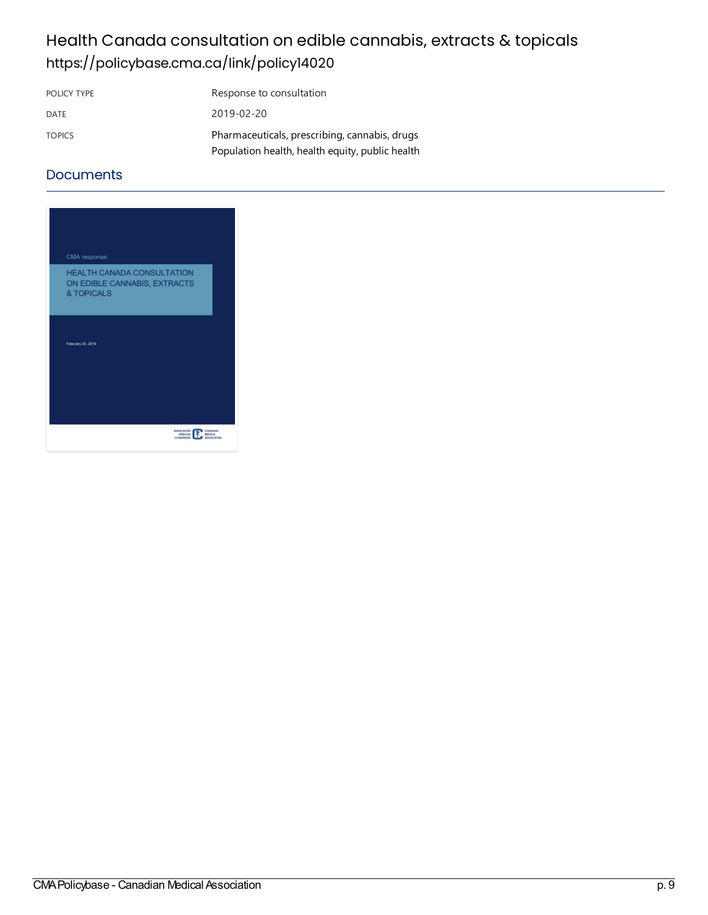# Health Canada consultation on edible cannabis, extracts & topicals <https://policybase.cma.ca/link/policy14020>

| POLICY TYPE   | Response to consultation                        |
|---------------|-------------------------------------------------|
| DATE          | 2019-02-20                                      |
| <b>TOPICS</b> | Pharmaceuticals, prescribing, cannabis, drugs   |
|               | Population health, health equity, public health |

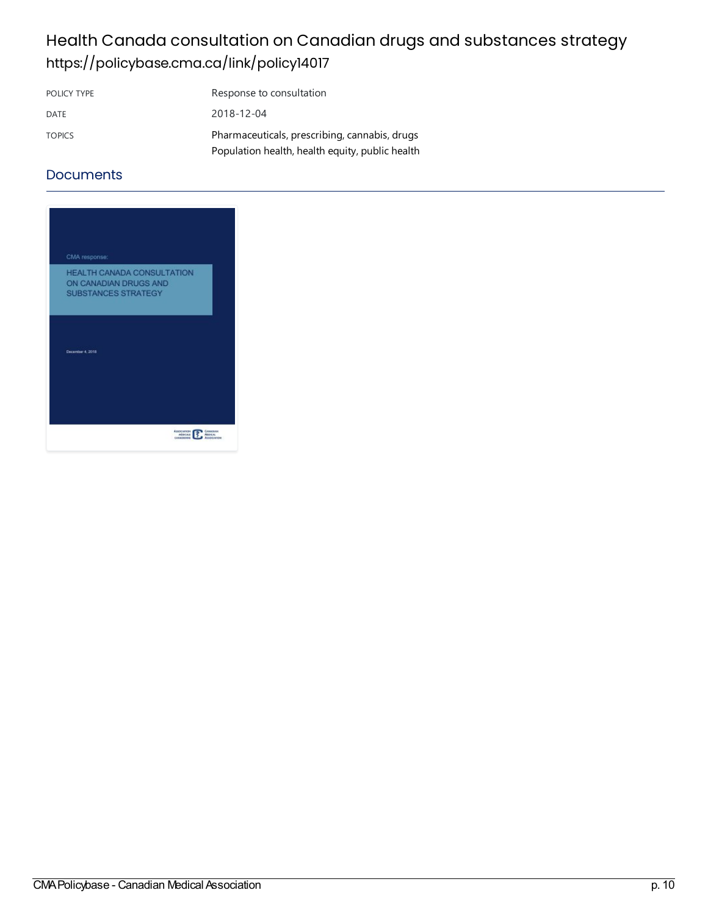# Health Canada consultation on Canadian drugs and substances strategy <https://policybase.cma.ca/link/policy14017>

| POLICY TYPE   | Response to consultation                        |
|---------------|-------------------------------------------------|
| DATE          | 2018-12-04                                      |
| <b>TOPICS</b> | Pharmaceuticals, prescribing, cannabis, drugs   |
|               | Population health, health equity, public health |

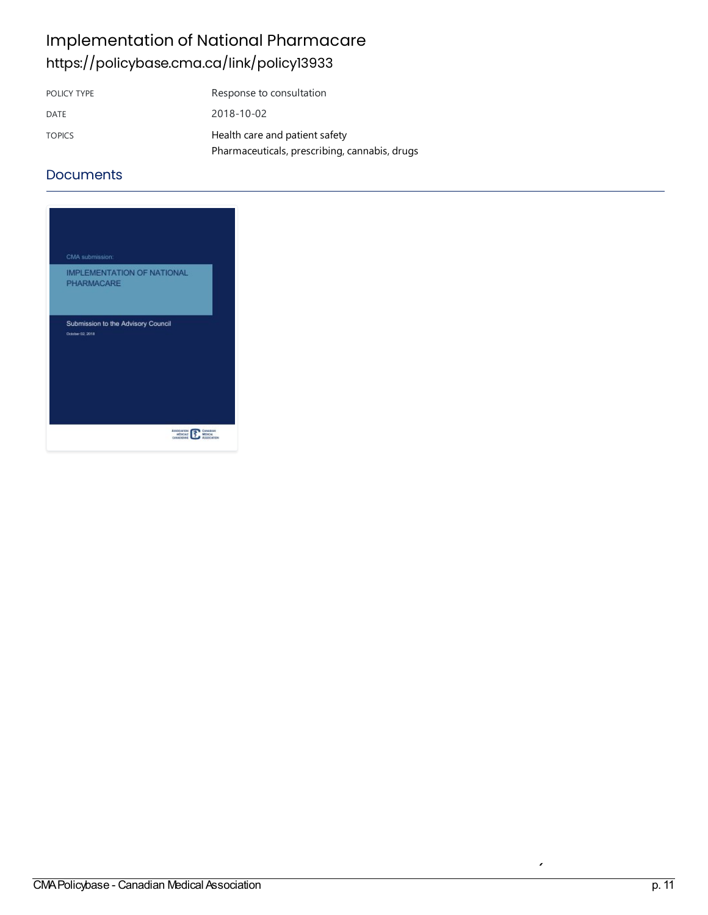# Implementation of National Pharmacare <https://policybase.cma.ca/link/policy13933>

| POLICY TYPE   | Response to consultation                      |
|---------------|-----------------------------------------------|
| DATE          | 2018-10-02                                    |
| <b>TOPICS</b> | Health care and patient safety                |
|               | Pharmaceuticals, prescribing, cannabis, drugs |

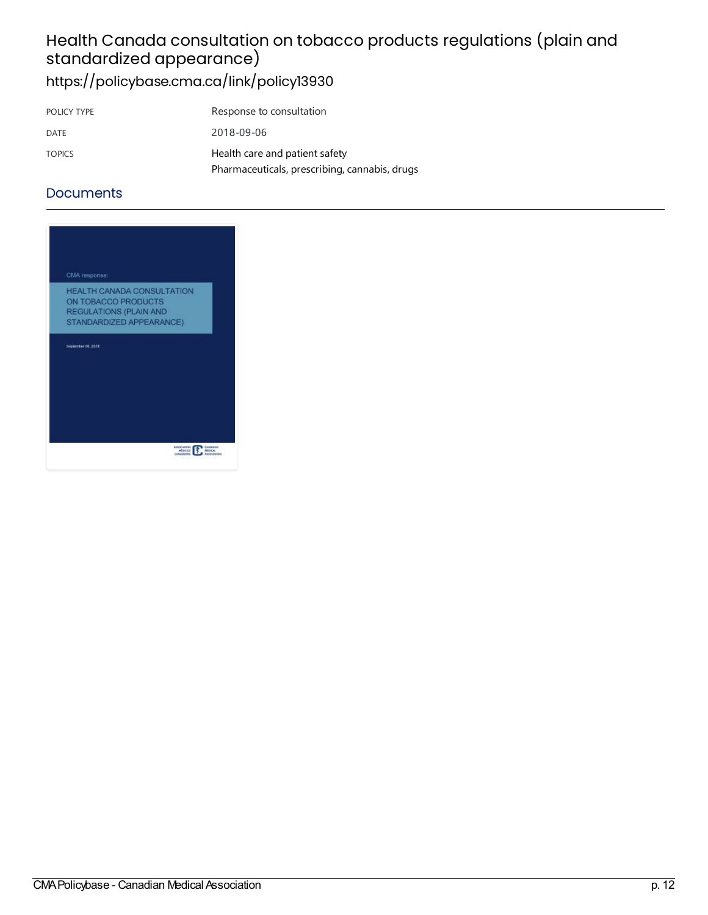# Health Canada consultation on tobacco products regulations (plain and standardized appearance)

<https://policybase.cma.ca/link/policy13930>

| POLICY TYPE   | Response to consultation                      |
|---------------|-----------------------------------------------|
| DATE          | 2018-09-06                                    |
| <b>TOPICS</b> | Health care and patient safety                |
|               | Pharmaceuticals, prescribing, cannabis, drugs |

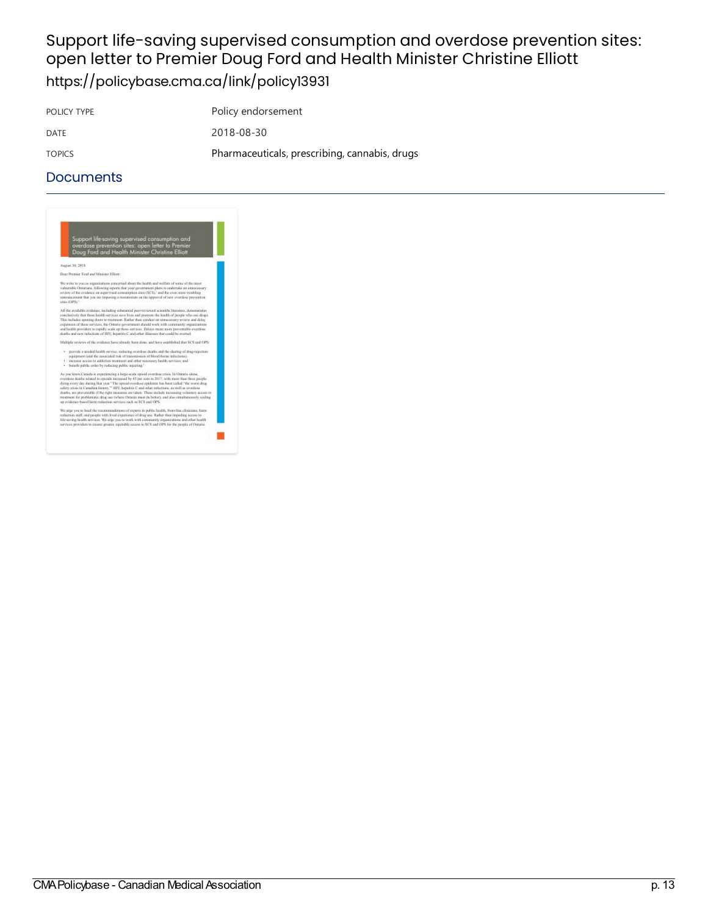### Support life-saving supervised consumption and overdose prevention sites: open letter to Premier Doug Ford and Health Minister Christine Elliott <https://policybase.cma.ca/link/policy13931>

POLICY TYPE POLICY TYPE

DATE 2018-08-30

TOPICS Pharmaceuticals, [prescribing,cannabis,](https://policybase.cma.ca/list?q=topic%253A%2522Pharmaceuticals,%20prescribing,%20cannabis,%20drugs%2522&p=1&ps=&sort=title_sort%20asc) drugs

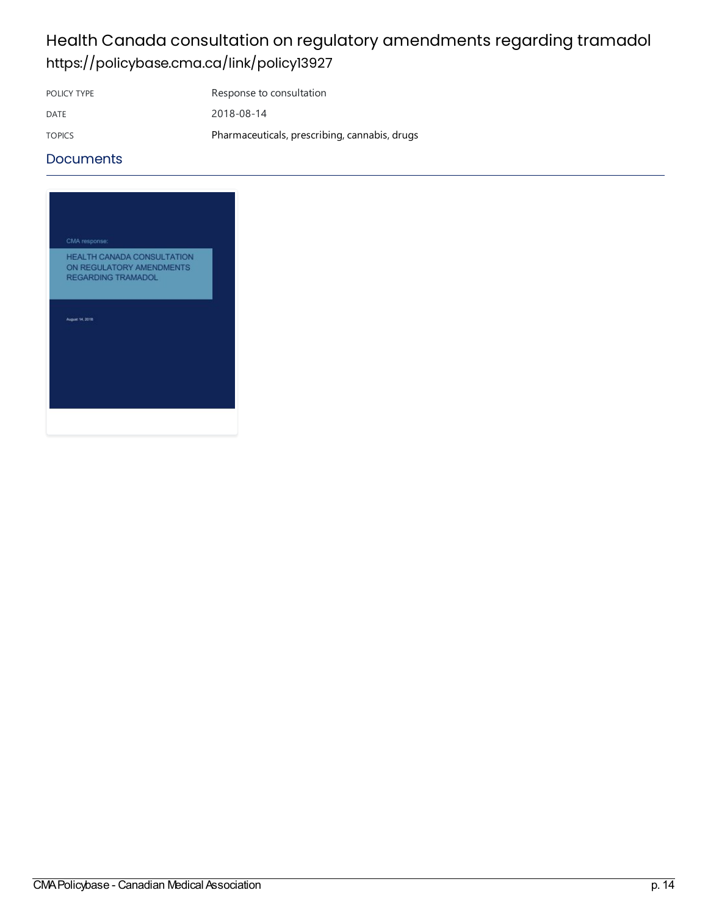### Health Canada consultation on regulatory amendments regarding tramadol <https://policybase.cma.ca/link/policy13927>

POLICY TYPE Response to consultation

DATE 2018-08-14 TOPICS Pharmaceuticals, prescribing, cannabis, drugs

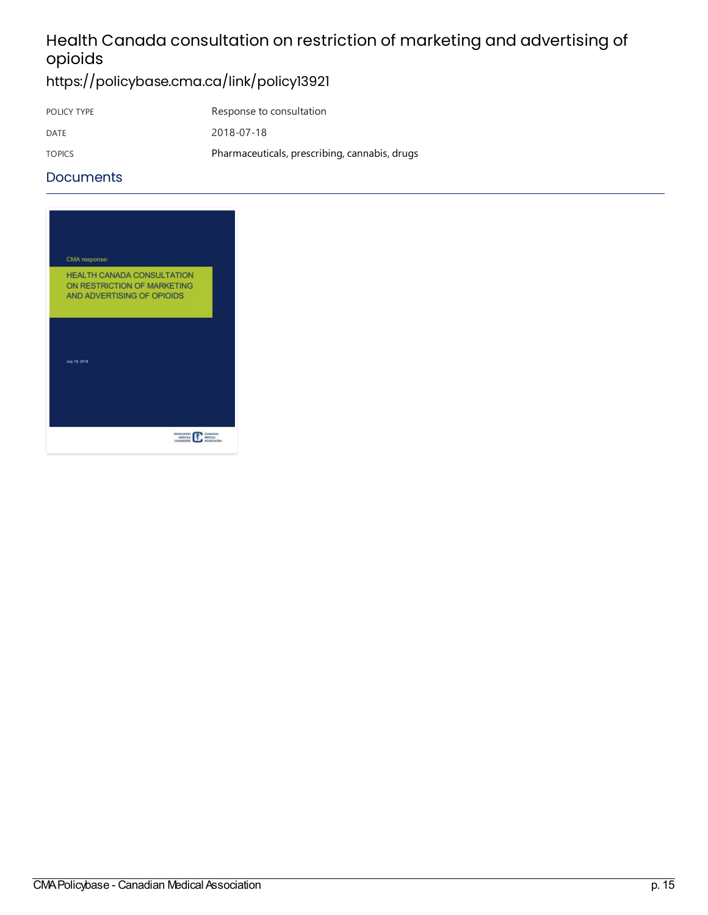# Health Canada consultation on restriction of marketing and advertising of opioids

# <https://policybase.cma.ca/link/policy13921>

| POLICY TYPE   | Response to consultation                      |
|---------------|-----------------------------------------------|
| DATE          | 2018-07-18                                    |
| <b>TOPICS</b> | Pharmaceuticals, prescribing, cannabis, drugs |

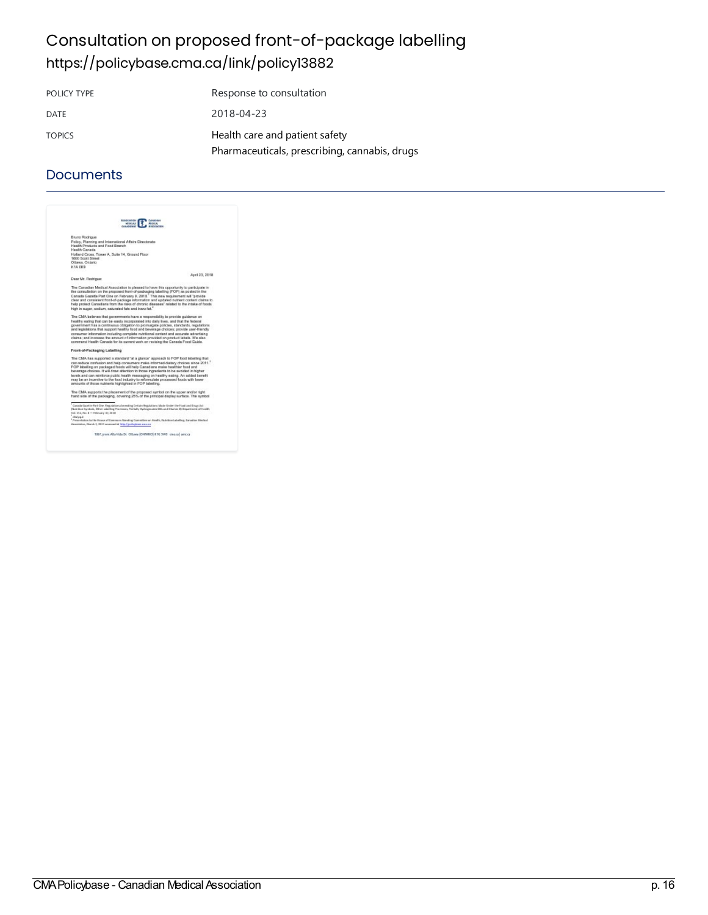# Consultation on proposed front-of-package labelling <https://policybase.cma.ca/link/policy13882>

| POLICY TYPE   | Response to consultation                      |
|---------------|-----------------------------------------------|
| DATE          | 2018-04-23                                    |
| <b>TOPICS</b> | Health care and patient safety                |
|               | Pharmaceuticals, prescribing, cannabis, drugs |

### **Documents**

| <b>ALABO ARGHI</b><br>MMAR<br><b>POSTAGE</b><br>GANADENHE           |                                                                                                                                                                                                                                                                                                                                                                                                                                                            |  |
|---------------------------------------------------------------------|------------------------------------------------------------------------------------------------------------------------------------------------------------------------------------------------------------------------------------------------------------------------------------------------------------------------------------------------------------------------------------------------------------------------------------------------------------|--|
| Bruno Rodrigue                                                      |                                                                                                                                                                                                                                                                                                                                                                                                                                                            |  |
| Health Products and Food Branch<br>Health Carusta                   | Policy, Planning and International Affairs Directorate                                                                                                                                                                                                                                                                                                                                                                                                     |  |
| Holland Cross, Tower A, Suite 14, Ground Floor<br>1600 Scott Street |                                                                                                                                                                                                                                                                                                                                                                                                                                                            |  |
| Ottawa, Ontario<br><b>KIA DKB</b>                                   |                                                                                                                                                                                                                                                                                                                                                                                                                                                            |  |
|                                                                     |                                                                                                                                                                                                                                                                                                                                                                                                                                                            |  |
| Dear Nr. Rochigua:                                                  | April 23, 2018                                                                                                                                                                                                                                                                                                                                                                                                                                             |  |
|                                                                     | The Canadian Medical Association is pleased to have this opportunity to participate in<br>the consultation on the proposed front-of-packaging labelling (FOP) as posted in the<br>Canada Gazetia Part One on February 9, 2018. This new requirement will "provide<br>clear and consistent front-of-package information and updated nutrient content claims to<br>help protect Caraxians from the risks of chronic diseases" related to the intake of foods |  |
|                                                                     | high in sugar, sodium, saturated fats and transitet.2                                                                                                                                                                                                                                                                                                                                                                                                      |  |
|                                                                     | The CMA beleves that povernments have a responsibility to provide guidance on                                                                                                                                                                                                                                                                                                                                                                              |  |
|                                                                     | healthy eating that can be easily incorporated into daily liyes, and that the federal<br>povemment has a continuous obligation to promulgate policies, standards, regulations:<br>and legislations that support healthy food and beyerage choices; provide user-friendly                                                                                                                                                                                   |  |
|                                                                     | consumer information including complete nutritional content and accurate advertising<br>claims; and increase the amount of information provided on product labels. We also<br>commend Health Canada for its current work on revising the Canada Food Guide.                                                                                                                                                                                                |  |
| Front-of-Packaging Labelling                                        |                                                                                                                                                                                                                                                                                                                                                                                                                                                            |  |
|                                                                     | The CMA has supported a standard "at a glance" approach to POP food labeling that                                                                                                                                                                                                                                                                                                                                                                          |  |
|                                                                     | can reduce confusion and help consumers make informed dietery choices aince 2011. <sup>4</sup><br>FOP tabelling on packaged foods will help Canadians make healthler food and<br>beverage choices. It will draw attention to those incredents to be avoided in higher                                                                                                                                                                                      |  |
|                                                                     | levels and can reinforce public health resuspoing on healthy eating. An acided benefit<br>may be an incentive to the food industry to reformulate processed foods with lower<br>amounts of those nutrients highlighted in FOP labelling.                                                                                                                                                                                                                   |  |
|                                                                     | The CMA supports the glacement of the proposed surrited on the upper and/or right<br>hand side of the packaging, covering 25% of the principal display surface. The symbol                                                                                                                                                                                                                                                                                 |  |
| Eal. 213, No. 8 - Pelesany 30, 2018<br>device 1                     | Canada Gazette Part Cise. Regulations Amending Certain Regulations Made Under the Food and Snigs Ask<br>Phile Box Syndrok, Direy Liderling Provisions, Fortully Hydnigenided Dils and Etianor 2) Department of Health                                                                                                                                                                                                                                      |  |
| Brooklabor, Marsh J. 2011 accessed at Misr Upolicyhope censor       | Persentation is the House of Commons lianding Committee an Health, Rob thin Labelling, Canadian Media:                                                                                                                                                                                                                                                                                                                                                     |  |
|                                                                     |                                                                                                                                                                                                                                                                                                                                                                                                                                                            |  |

1867, prem Alta Vista Dr. Ottawa (ONTARIO) 610 3W8 - creace | amicor

er<br>Bill CMA Policybase - Canadian Medical Association p. 16<br>P. 16: The Cannabis Act of Canadian Medical Association p. 16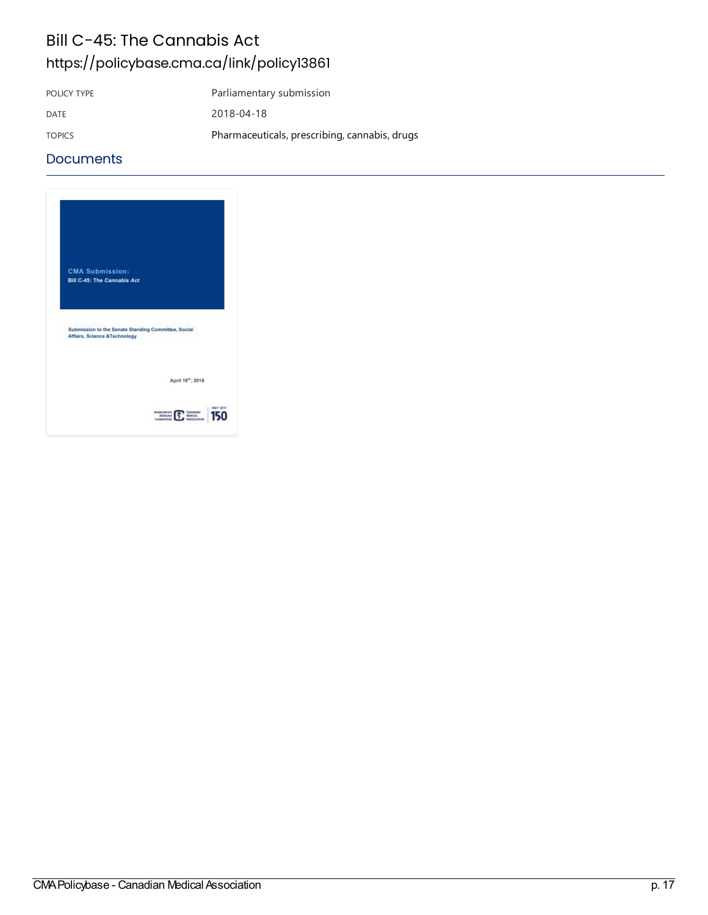### Bill C-45: The Cannabis Act <https://policybase.cma.ca/link/policy13861>

POLICY TYPE Parliamentary submission DATE 2018-04-18 TOPICS Pharmaceuticals, prescribing, cannabis, drugs

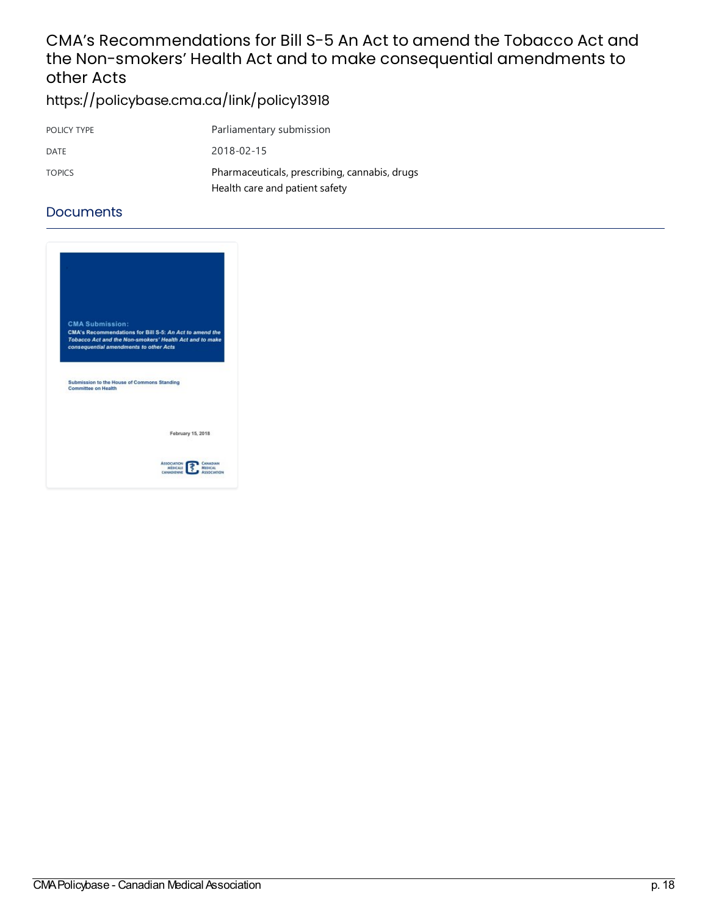### CMA's Recommendations for Bill S-5 An Act to amend the Tobacco Act and the Non-smokers' Health Act and to make consequential amendments to other Acts

<https://policybase.cma.ca/link/policy13918>

| POLICY TYPE   | Parliamentary submission                      |
|---------------|-----------------------------------------------|
| DATE          | 2018-02-15                                    |
| <b>TOPICS</b> | Pharmaceuticals, prescribing, cannabis, drugs |
|               | Health care and patient safety                |

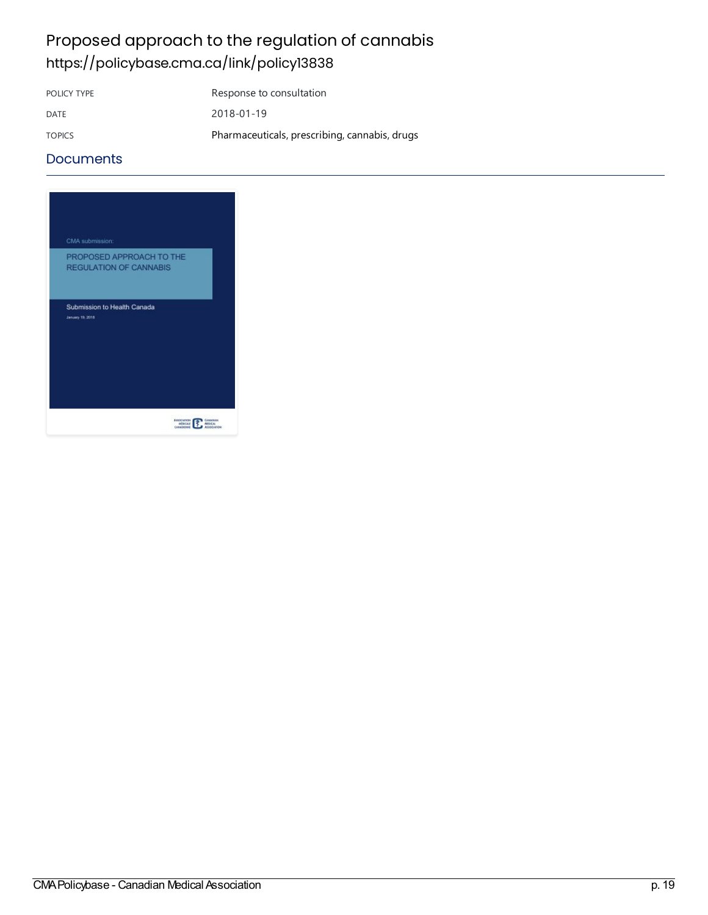### Proposed approach to the regulation of cannabis <https://policybase.cma.ca/link/policy13838>

POLICY TYPE Response to consultation DATE 2018-01-19 TOPICS Pharmaceuticals, prescribing, cannabis, drugs